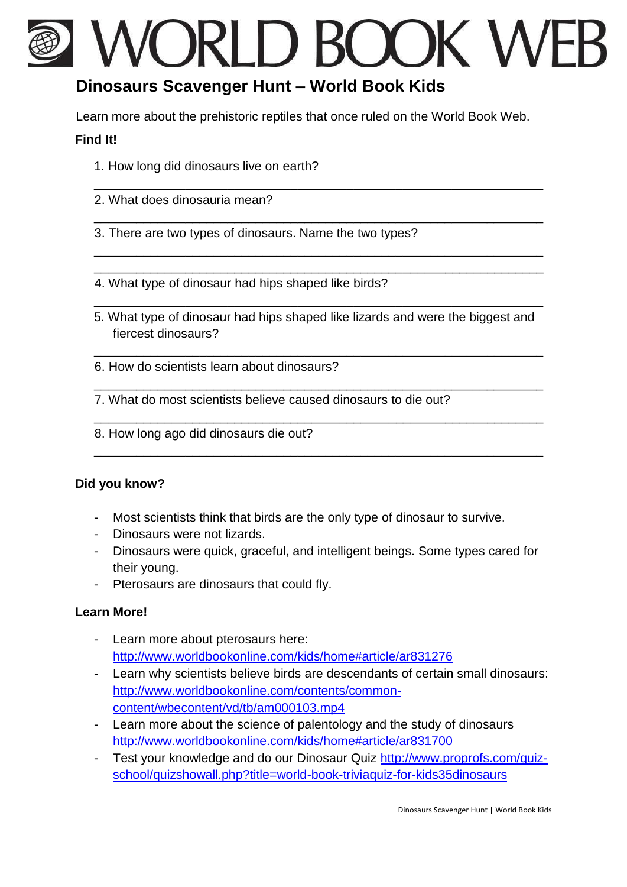# WORLD BOOK WE

\_\_\_\_\_\_\_\_\_\_\_\_\_\_\_\_\_\_\_\_\_\_\_\_\_\_\_\_\_\_\_\_\_\_\_\_\_\_\_\_\_\_\_\_\_\_\_\_\_\_\_\_\_\_\_\_\_\_\_\_\_\_\_\_

\_\_\_\_\_\_\_\_\_\_\_\_\_\_\_\_\_\_\_\_\_\_\_\_\_\_\_\_\_\_\_\_\_\_\_\_\_\_\_\_\_\_\_\_\_\_\_\_\_\_\_\_\_\_\_\_\_\_\_\_\_\_\_\_

\_\_\_\_\_\_\_\_\_\_\_\_\_\_\_\_\_\_\_\_\_\_\_\_\_\_\_\_\_\_\_\_\_\_\_\_\_\_\_\_\_\_\_\_\_\_\_\_\_\_\_\_\_\_\_\_\_\_\_\_\_\_\_\_ \_\_\_\_\_\_\_\_\_\_\_\_\_\_\_\_\_\_\_\_\_\_\_\_\_\_\_\_\_\_\_\_\_\_\_\_\_\_\_\_\_\_\_\_\_\_\_\_\_\_\_\_\_\_\_\_\_\_\_\_\_\_\_\_

## **Dinosaurs Scavenger Hunt – World Book Kids**

Learn more about the prehistoric reptiles that once ruled on the World Book Web.

#### **Find It!**

- 1. How long did dinosaurs live on earth?
- 2. What does dinosauria mean?
- 3. There are two types of dinosaurs. Name the two types?
- 4. What type of dinosaur had hips shaped like birds?
- 5. What type of dinosaur had hips shaped like lizards and were the biggest and fiercest dinosaurs?

\_\_\_\_\_\_\_\_\_\_\_\_\_\_\_\_\_\_\_\_\_\_\_\_\_\_\_\_\_\_\_\_\_\_\_\_\_\_\_\_\_\_\_\_\_\_\_\_\_\_\_\_\_\_\_\_\_\_\_\_\_\_\_\_

\_\_\_\_\_\_\_\_\_\_\_\_\_\_\_\_\_\_\_\_\_\_\_\_\_\_\_\_\_\_\_\_\_\_\_\_\_\_\_\_\_\_\_\_\_\_\_\_\_\_\_\_\_\_\_\_\_\_\_\_\_\_\_\_

\_\_\_\_\_\_\_\_\_\_\_\_\_\_\_\_\_\_\_\_\_\_\_\_\_\_\_\_\_\_\_\_\_\_\_\_\_\_\_\_\_\_\_\_\_\_\_\_\_\_\_\_\_\_\_\_\_\_\_\_\_\_\_\_

\_\_\_\_\_\_\_\_\_\_\_\_\_\_\_\_\_\_\_\_\_\_\_\_\_\_\_\_\_\_\_\_\_\_\_\_\_\_\_\_\_\_\_\_\_\_\_\_\_\_\_\_\_\_\_\_\_\_\_\_\_\_\_\_

\_\_\_\_\_\_\_\_\_\_\_\_\_\_\_\_\_\_\_\_\_\_\_\_\_\_\_\_\_\_\_\_\_\_\_\_\_\_\_\_\_\_\_\_\_\_\_\_\_\_\_\_\_\_\_\_\_\_\_\_\_\_\_\_

- 6. How do scientists learn about dinosaurs?
- 7. What do most scientists believe caused dinosaurs to die out?
- 8. How long ago did dinosaurs die out?

### **Did you know?**

- Most scientists think that birds are the only type of dinosaur to survive.
- Dinosaurs were not lizards.
- Dinosaurs were quick, graceful, and intelligent beings. Some types cared for their young.
- Pterosaurs are dinosaurs that could fly.

### **Learn More!**

- Learn more about pterosaurs here: <http://www.worldbookonline.com/kids/home#article/ar831276>
- Learn why scientists believe birds are descendants of certain small dinosaurs: [http://www.worldbookonline.com/contents/common](http://www.worldbookonline.com/contents/common-content/wbe-content/vd/tb/am000103.mp4)[content/wbecontent/vd/tb/am000103.mp4](http://www.worldbookonline.com/contents/common-content/wbe-content/vd/tb/am000103.mp4)
- Learn more about the science of palentology and the study of dinosaurs <http://www.worldbookonline.com/kids/home#article/ar831700>
- Test your knowledge and do our Dinosaur Quiz [http://www.proprofs.com/quiz](http://www.proprofs.com/quiz-school/quizshowall.php?title=world-book-trivia-quiz-for-kids35dinosaurs)[school/quizshowall.php?title=world-book-triviaquiz-for-kids35dinosaurs](http://www.proprofs.com/quiz-school/quizshowall.php?title=world-book-trivia-quiz-for-kids35dinosaurs)